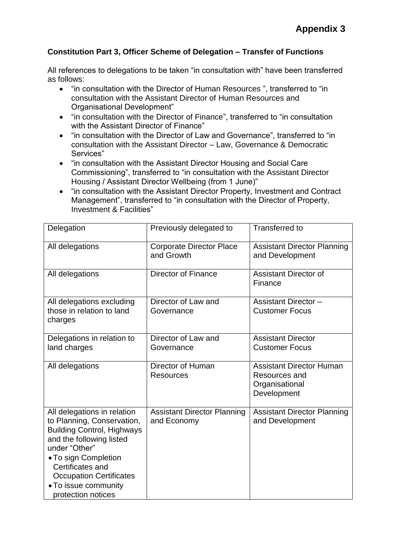## **Constitution Part 3, Officer Scheme of Delegation – Transfer of Functions**

All references to delegations to be taken "in consultation with" have been transferred as follows:

- "in consultation with the Director of Human Resources ", transferred to "in consultation with the Assistant Director of Human Resources and Organisational Development"
- "in consultation with the Director of Finance", transferred to "in consultation with the Assistant Director of Finance"
- "in consultation with the Director of Law and Governance", transferred to "in consultation with the Assistant Director – Law, Governance & Democratic Services"
- "in consultation with the Assistant Director Housing and Social Care Commissioning", transferred to "in consultation with the Assistant Director Housing / Assistant Director Wellbeing (from 1 June)"
- "in consultation with the Assistant Director Property, Investment and Contract Management", transferred to "in consultation with the Director of Property, Investment & Facilities"

| Delegation                                                                                                                                                                                                                                                              | Previously delegated to                           | <b>Transferred to</b>                                                             |
|-------------------------------------------------------------------------------------------------------------------------------------------------------------------------------------------------------------------------------------------------------------------------|---------------------------------------------------|-----------------------------------------------------------------------------------|
| All delegations                                                                                                                                                                                                                                                         | <b>Corporate Director Place</b><br>and Growth     | <b>Assistant Director Planning</b><br>and Development                             |
| All delegations                                                                                                                                                                                                                                                         | Director of Finance                               | <b>Assistant Director of</b><br>Finance                                           |
| All delegations excluding<br>those in relation to land<br>charges                                                                                                                                                                                                       | Director of Law and<br>Governance                 | <b>Assistant Director-</b><br><b>Customer Focus</b>                               |
| Delegations in relation to<br>land charges                                                                                                                                                                                                                              | Director of Law and<br>Governance                 | <b>Assistant Director</b><br><b>Customer Focus</b>                                |
| All delegations                                                                                                                                                                                                                                                         | Director of Human<br><b>Resources</b>             | <b>Assistant Director Human</b><br>Resources and<br>Organisational<br>Development |
| All delegations in relation<br>to Planning, Conservation,<br><b>Building Control, Highways</b><br>and the following listed<br>under "Other"<br>• To sign Completion<br>Certificates and<br><b>Occupation Certificates</b><br>• To issue community<br>protection notices | <b>Assistant Director Planning</b><br>and Economy | <b>Assistant Director Planning</b><br>and Development                             |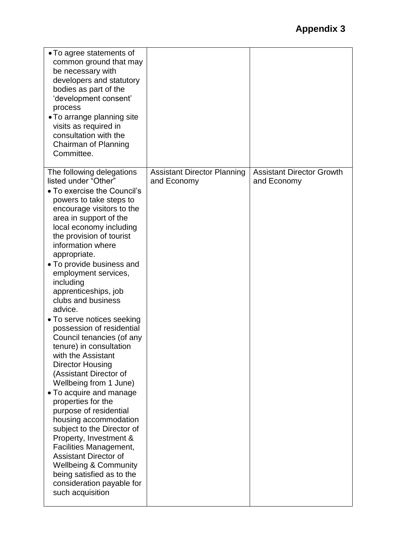| • To agree statements of<br>common ground that may<br>be necessary with<br>developers and statutory<br>bodies as part of the<br>'development consent'<br>process<br>• To arrange planning site<br>visits as required in<br>consultation with the<br>Chairman of Planning<br>Committee.                                                                                                                                                                                                                                                                                                                                                                                                                                                                                                                                                                                                                                                                    |                                                   |                                                 |
|-----------------------------------------------------------------------------------------------------------------------------------------------------------------------------------------------------------------------------------------------------------------------------------------------------------------------------------------------------------------------------------------------------------------------------------------------------------------------------------------------------------------------------------------------------------------------------------------------------------------------------------------------------------------------------------------------------------------------------------------------------------------------------------------------------------------------------------------------------------------------------------------------------------------------------------------------------------|---------------------------------------------------|-------------------------------------------------|
| The following delegations<br>listed under "Other"<br>• To exercise the Council's<br>powers to take steps to<br>encourage visitors to the<br>area in support of the<br>local economy including<br>the provision of tourist<br>information where<br>appropriate.<br>• To provide business and<br>employment services,<br>including<br>apprenticeships, job<br>clubs and business<br>advice.<br>• To serve notices seeking<br>possession of residential<br>Council tenancies (of any<br>tenure) in consultation<br>with the Assistant<br><b>Director Housing</b><br>(Assistant Director of<br>Wellbeing from 1 June)<br>• To acquire and manage<br>properties for the<br>purpose of residential<br>housing accommodation<br>subject to the Director of<br>Property, Investment &<br>Facilities Management,<br><b>Assistant Director of</b><br><b>Wellbeing &amp; Community</b><br>being satisfied as to the<br>consideration payable for<br>such acquisition | <b>Assistant Director Planning</b><br>and Economy | <b>Assistant Director Growth</b><br>and Economy |